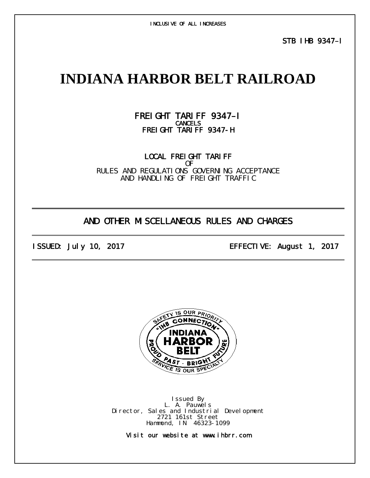INCLUSIVE OF ALL INCREASES

STB IHB 9347–I

# **INDIANA HARBOR BELT RAILROAD**

## FREI GHT TARI FF 9347-I FREIGHT TARIFF 9347-H

LOCAL FREIGHT TARIFF OF RULES AND REGULATIONS GOVERNING ACCEPTANCE AND HANDLING OF FREIGHT TRAFFIC

## AND OTHER MISCELLANEOUS RULES AND CHARGES

ISSUED: July 10, 2017 EFFECTIVE: August 1, 2017



Issued By L. A. Pauwels Director, Sales and Industrial Development 2721 161st Street Hammond, IN 46323-1099

Visit our website at www.ihbrr.com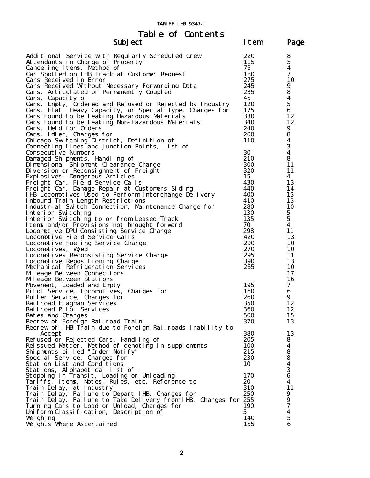| Table of Contents |      |      |
|-------------------|------|------|
| Subj ect          | Item | Page |

| suvj čet                                                                                      |            | - 45             |
|-----------------------------------------------------------------------------------------------|------------|------------------|
| Additional Service with Regularly Scheduled Crew                                              | 220        | 8                |
| Attendants in Charge of Property                                                              | 115        | $\mathbf{5}$     |
| Canceling Items, Method of                                                                    | 75         | $\boldsymbol{4}$ |
| Car Spotted on IHB Track at Customer Request                                                  | 180        | 7                |
| Cars Received in Error                                                                        | 275        | 10               |
| Cars Received Without Necessary Forwarding Data                                               | 245        | 9                |
| Cars, Articulated or Permanently Coupled                                                      | 235        | ${\bf 8}$        |
| Cars,<br>Capacity of                                                                          | 45         | $\boldsymbol{4}$ |
| Cars, Empty, Ordered and Refused or Rejected by Industry                                      | 120        | $\overline{5}$   |
| Cars, Flat, Heavy Capacity, or Special Type, Charges for                                      | 175        | 6                |
| Cars Found to be Leaking Hazardous Materials                                                  | 330        | 12               |
| Cars Found to be Leaking Non-Hazardous Materials                                              | 340        | 12               |
| Cars, Held for Orders                                                                         | 240        | 9                |
| Cars, Idler, Charges for                                                                      | <b>200</b> | 8                |
| Chicago Switching District, Definition of                                                     | 110        | $\boldsymbol{4}$ |
| Connecting Lines and Junction Points, List of                                                 |            | $\mathbf 3$      |
| Consecutive Numbers                                                                           | 30         | $\boldsymbol{4}$ |
| Damaged Shipments, Handling of                                                                | 210        | 8                |
| Di mensional Shi pment Clearance Charge                                                       | 300        | 11               |
| Diversion or Reconsignment of Freight                                                         | 320        | 11               |
| Explosives, Dangerous Articles                                                                | 15         | 4                |
| Freight Car, Field Service Calls                                                              | 430        | 13               |
| Freight Car, Damage Repair at Customers Siding                                                | 440        | 14               |
| IHB Locomotives Used to Perform Interchange Delivery                                          | 400        | 13               |
| Inbound Train Length Restrictions                                                             | 410        | 13               |
| Industrial Switch Connection, Maintenance Charge for                                          | 280        | 10               |
| Interior Switching                                                                            | 130        | $5\phantom{.0}$  |
| Interior Switching to or from Leased Track                                                    | 135        | $\mathbf{5}$     |
| I tems and/or Provisions not brought forward                                                  | 70         | 4                |
| Locomotive DPU Consisting Service Charge                                                      | 298        | 11               |
| Locomotive Field Service Calls                                                                | 420        | 13               |
| Locomotive Fueling Service Charge                                                             | 290        | 10               |
| Locomotives, Wyed                                                                             | 270        | 10               |
| Locomotives Reconsisting Service Charge                                                       | 295        | 11               |
| Locomotive Repositioning Charge                                                               | 390        | 13               |
| Mechanical Refrigeration Services                                                             | 265        | 10               |
| Mileage Between Connections                                                                   |            | 17               |
| Mileage Between Stations                                                                      |            | 16               |
| Movement, Loaded and Empty                                                                    | 195        | $\tau$           |
| Pilot Service, Locomotives, Charges for                                                       | 160        | 6                |
| Puller Service, Charges for                                                                   | 260        | 9                |
| Railroad Flagman Services                                                                     | 350        | 12               |
| Railroad Pilot Services                                                                       | 360        | 12<br>15         |
| Rates and Charges                                                                             | 500<br>370 | 13               |
| Recrew of Foreign Railroad Train<br>Recrew of IHB Train due to Foreign Railroads Inability to |            |                  |
| Accept                                                                                        | 380        | 13               |
| Refused or Rejected Cars, Handling of                                                         | 205        | 8                |
| Reissued Matter, Method of denoting in supplements                                            | 100        | 4                |
| Shipments billed "Order Notify"                                                               | 215        | 8                |
| Special Service, Charges for                                                                  | 230        | ${\bf 8}$        |
| Station List and Conditions                                                                   | 10         | $\boldsymbol{4}$ |
| Stations, Alphabetical list of                                                                |            | 3                |
| Stopping in Transit, Loading or Unloading                                                     | 170        | $\boldsymbol{6}$ |
| Tariffs, Items, Notes, Rules, etc. Reference to                                               | 20         | $\boldsymbol{4}$ |
| Train Delay, at Industry                                                                      | 310        | 11               |
| Train Delay, Failure to Depart IHB, Charges for                                               | 250        | 9                |
| Train Delay, Failure to Take Delivery from IHB, Charges for 255                               |            | $\boldsymbol{9}$ |
| Turning Cars to Load or Unload, Charges for                                                   | 190        | $\boldsymbol{7}$ |
| Uniform Classification, Description of                                                        | 5          | $\boldsymbol{4}$ |
| Weighing                                                                                      | 140        | ${\bf 5}$        |
| Weights Where Ascertained                                                                     | 155        | 6                |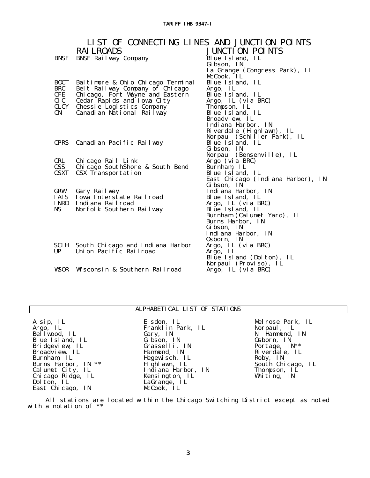|                    | LIST OF CONNECTING LINES AND JUNCTION POINTS<br><b>RAI LROADS</b> | <b>JUNCTI ON POINTS</b>               |
|--------------------|-------------------------------------------------------------------|---------------------------------------|
| BNSF               | BNSF Railway Company                                              | Blue Island, IL                       |
|                    |                                                                   | Gibson, IN                            |
|                    |                                                                   | La Grange (Congress Park), IL         |
|                    |                                                                   | McCook, IL                            |
| <b>BOCT</b>        | Baltimore & Ohio Chicago Terminal                                 | Blue Island, IL                       |
| <b>BRC</b>         | Belt Railway Company of Chicago                                   | Argo, IL                              |
| <b>CFE</b>         | Chicago, Fort Wayne and Eastern                                   | Blue Island, IL                       |
| CI C               | Cedar Rapids and I owa City                                       | Argo, IL (via BRC)                    |
| CLCY               | Chessie Logistics Company                                         | Thompson, IL                          |
| <b>CN</b>          | Canadian National Railway                                         | Blue Island, IL                       |
|                    |                                                                   | Broadview, IL                         |
|                    |                                                                   | Indiana Harbor, IN                    |
|                    |                                                                   | Riverdale (Highlawn), IL              |
|                    |                                                                   | Norpaul (Schiller Park), IL           |
|                    | CPRS Canadian Pacific Railway                                     | Blue Island, IL                       |
|                    |                                                                   | Gi bson, IN                           |
|                    |                                                                   | Norpaul (Bensenville), IL             |
| <b>CRL</b>         | Chicago Rail Link                                                 | Argo (via BRC)                        |
| $\mathbf{CSS}$     | Chi cago SouthShore & South Bend                                  | Burnham, IL                           |
| <b>CSXT</b>        | CSX Transportation                                                | Blue Island, IL                       |
|                    |                                                                   | East Chicago (Indiana Harbor), IN     |
|                    |                                                                   | Gibson, IN                            |
| GRW<br><b>IAIS</b> | Gary Railway<br>Iowa Interstate Railroad                          | Indiana Harbor, IN<br>Blue Island, IL |
| <b>INRD</b>        | Indiana Railroad                                                  |                                       |
| NS.                | Norfolk Southern Railway                                          | Argo, IL (via BRC)<br>Blue Island, IL |
|                    |                                                                   | Burnham (Calumet Yard), IL            |
|                    |                                                                   | Burns Harbor, IN                      |
|                    |                                                                   | Gibson, IN                            |
|                    |                                                                   | Indiana Harbor, IN                    |
|                    |                                                                   | 0sborn, IN                            |
|                    | SCIH South Chicago and Indiana Harbor                             | Argo, IL (via BRC)                    |
| UP                 | Union Pacific Railroad                                            | Argo, IL                              |
|                    |                                                                   | Blue Island (Dolton), IL              |
|                    |                                                                   | Norpaul (Proviso), IL                 |
| <b>WSOR</b>        | Wisconsin & Southern Railroad                                     | Argo, IL (via BRC)                    |

### ALPHABETICAL LIST OF STATIONS

Alsip, IL Argo, IL Bellwood, IL Blue Island, IL Bridgeview, IL Broadview, IL Burnham, IL Burns Harbor, IN \*\* Calumet City, IL Chicago Ridge, IL Dolton, IL East Chicago, IN

Elsdon, IL Franklin Park, IL Gary, IN Gibson, IN Grasselli, IN Hammond, IN Hegewisch, IL Highlawn, IL Indiana Harbor, IN Kensington, IL LaGrange, IL McCook, IL

Melrose Park, IL Norpaul, IL N. Hammond, IN Osborn, IN Portage, IN\*\* Riverdale, IL Roby, IN South Chicago, IL Thompson, IL Whiting, IN

 All stations are located within the Chicago Switching District except as noted with a notation of \*\*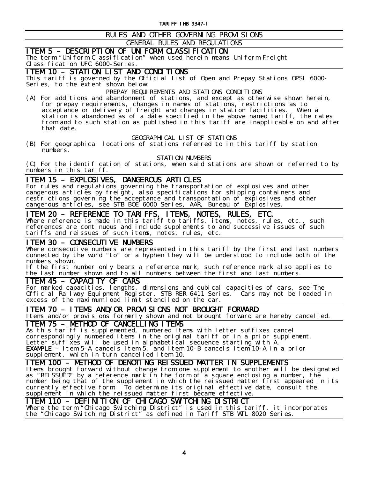## RULES AND OTHER GOVERNING PROVISIONS

### GENERAL RULES AND REGULATIONS

ITEM 5 - DESCRIPTION OF UNIFORM CLASSIFICATION<br>The term "Uniform Classification" when used herein means Uniform Freight Classification UFC 6000-Series.

ITEM 10 – STATION LIST AND CONDITIONS This tariff is governed by the Official List of Open and Prepay Stations OPSL 6000- Series, to the extent shown below:

### PREPAY REQUIREMENTS AND STATIONS CONDITIONS

(A) For additions and abandonment of stations, and except as otherwise shown herein, for prepay requirements, changes in names of stations, restrictions as to acceptance or delivery of freight and changes in station facilities. When a station is abandoned as of a date specified in the above named tariff, the rates from and to such station as published in this tariff are inapplicable on and after that date.

### GEOGRAPHICAL LIST OF STATIONS

(B) For geographical locations of stations referred to in this tariff by station numbers.

STATION NUMBERS

(C) For the identification of stations, when said stations are shown or referred to by numbers in this tariff.

ITEM 15 – EXPLOSIVES, DANGEROUS ARTICLES<br>For rules and regulations governing the transportation of explosives and other dangerous articles by freight, also specifications for shipping containers and restrictions governing the acceptance and transportation of explosives and other dangerous articles, see STB BOE 6000 Series, AAR, Bureau of Explosives.

ITEM 20 - REFERENCE TO TARIFFS, ITEMS, NOTES, RULES, ETC.<br>Where reference is made in this tariff to tariffs, items, notes, rules, etc., such references are continuous and include supplements to and successive issues of such tariffs and reissues of such items, notes, rules, etc.

**ITEM 30 - CONSECUTIVE NUMBERS**<br>Where consecutive numbers are represented in this tariff by the first and last numbers connected by the word "to" or a hyphen they will be understood to include both of the numbers shown.

If the first number only bears a reference mark, such reference mark also applies to the last number shown and to all numbers between the first and last numbers.

Ξ

ITEM 45 - CAPACITY OF CARS<br>For marked capacities, lengths, dimensions and cubical capacities of cars, see The Official Railway Equipment Register, STB RER 6411 Series. Cars may not be loaded in excess of the maximum load limit stenciled on the car.

ITEM 70 - ITEMS AND/OR PROVISIONS NOT BROUGHT FORWARD<br>Items and/or provisions formerly shown and not brought forward are hereby cancelled.

**ITEM 75 - METHOD OF CANCELLING ITEMS**<br>As this tariff is supplemented, numbered items with letter suffixes cancel correspondingly numbered items in the original tariff or in a prior supplement. Letter suffixes will be used in alphabetical sequence starting with A. **EXAMPLE** – Item 5-A cancels Item 5, and Item 10-B cancels Item 10-A in a prior supplement, which in turn cancelled Item 10.

**ITEM 100 – METHOD OF DENOTING REISSUED MATTER IN SUPPLEMENTS**<br>Items brought forward without change from one supplement to another will be designated as "REISSUED" by a reference mark in the form of a square enclosing a number, the number being that of the supplement in which the reissued matter first appeared in its currently effective form. To determine its original effective date, consult the

# supplement in which the reissued matter first became effective.<br>TTEM 110 - DEFINITION OF CHICAGO SWITCHING DISTRICT

**ITEM 110 – DEFINITION OF CHICAGO SWITCHING DISTRICT**<br>Where the term "Chicago Switching District" is used in this tariff, it incorporates the "Chicago Switching District" as defined in Tariff STB WTL 8020 Series.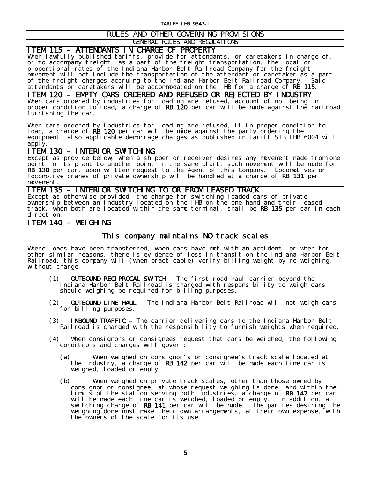### RULES AND OTHER GOVERNING PROVISIONS

GENERAL RULES AND REGULATIONS

**ITEM 115 – ATTENDANTS IN CHARGE OF PROPERTY**<br>When lawfully published tariffs, provide for attendants, or caretakers in charge of, or to accompany freight, as a part of the freight transportation, the local or proportional rates of the Indiana Harbor Belt Railroad Company for the freight movement will not include the transportation of the attendant or caretaker as a part of the freight charges accruing to the Indiana Harbor Belt Railroad Company. Said attendants or caretakers will be accommodated on the IHB for a charge of RB 115.

# ITEM 120 – EMPTY CARS ORDERED AND REFUSED OR REJECTED BY INDUSTRY<br>When cars ordered by industries for loading are refused, account of not being in

proper condition to load, a charge of RB 120 per car will be made against the railroad furnishing the car.

When cars ordered by industries for loading are refused, if in proper condition to load, a charge of **RB 120** per car will be made against the party ordering the equipment, also applicable demurrage charges as published in tariff STB IHB 6004 will apply.

ITEM 130 - INTERIOR SWITCHING<br>Except as provide below, when a shipper or receiver desires any movement made from one point in its plant to another point in the same plant, such movement will be made for RB 130 per car, upon written request to the Agent of this Company. Locomotives or locomotive cranes of private ownership will be handled at a charge of RB 131 per movement.

ITEM 135 – INTERIOR SWITCHING TO OR FROM LEASED TRACK Except as otherwise provided, the charge for switching loaded cars of private ownership between an industry located on the IHB on the one hand and their leased track, when both are located within the same terminal, shall be RB 135 per car in each direction.

### ITEM 140 – WEIGHING

### This company maintains NO track scales

Where loads have been transferred, when cars have met with an accident, or when for other similar reasons, there is evidence of loss in transit on the Indiana Harbor Belt Railroad, this company will (when practicable) verify billing weight by re-weighing, without charge.

- (1) OUTBOUND RECIPROCAL SWITCH The first road-haul carrier beyond the Indiana Harbor Belt Railroad is charged with responsibility to weigh cars should weighing be required for billing purposes.
- (2) OUTBOUND LINE HAUL The Indiana Harbor Belt Railroad will not weigh cars for billing purposes.
- (3) INBOUND TRAFFIC The carrier delivering cars to the Indiana Harbor Belt Railroad is charged with the responsibility to furnish weights when required.
- (4) When consignors or consignees request that cars be weighed, the following conditions and charges will govern:
	- (a) When weighed on consignor's or consignee's track scale located at the industry, a charge of  $\overline{RB}$  142 per car will be made each time car is weighed, loaded or empty.
	- (b) When weighed on private track scales, other than those owned by consignor or consignee, at whose request weighing is done, and within the limits of the station serving both industries, a charge of RB 142 per car will be made each time car is weighed, loaded or empty. In addition, a switching charge of RB 141 per car will be made. The parties desiring the weighing done must make their own arrangements, at their own expense, with the owners of the scale for its use.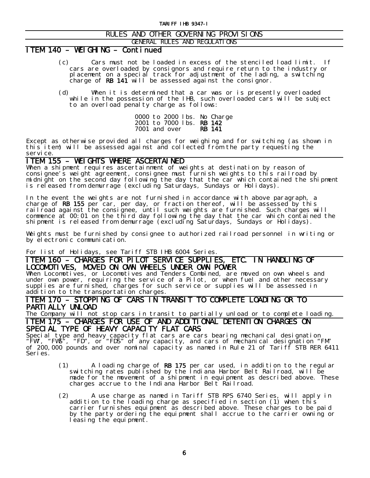### RULES AND OTHER GOVERNING PROVISIONS

### GENERAL RULES AND REGULATIONS

### ITEM 140 – WEIGHING – Continued

- (c) Cars must not be loaded in excess of the stenciled load limit. If cars are overloaded by consignors and require return to the industry or placement on a special track for adjustment of the lading, a switching charge of  $RB$  141 will be assessed against the consignor.
- (d) When it is determined that a car was or is presently overloaded while in the possession of the IHB, such overloaded cars will be subject to an overload penalty charge as follows:

0000 to 2000 lbs. No Charge 2001 to 7000 lbs. **RB 142**<br>7001 and over **RB 141** 7001 and over

Except as otherwise provided all charges for weighing and for switching (as shown in this item) will be assessed against and collected from the party requesting the service.

**ITEM 155 – WEIGHTS WHERE ASCERTAINED**<br>When a shipment requires ascertainment of weights at destination by reason of consignee's weight agreement, consignee must furnish weights to this railroad by midnight on the second day following the day that the car which contained the shipment is released from demurrage (excluding Saturdays, Sundays or Holidays).

In the event the weights are not furnished in accordance with above paragraph, a charge of RB 155 per car, per day, or fraction thereof, will be assessed by this railroad against the consignee, until such weights are furnished. Such charges will commence at 00:01 on the third day following the day that the car which contained the shipment is released from demurrage (excluding Saturdays, Sundays or Holidays).

Weights must be furnished by consignee to authorized railroad personnel in writing or by electronic communication.

### For list of Holidays, see Tariff STB IHB 6004 Series.

ITEM 160 – CHARGES FOR PILOT SERVICE SUPPLIES, ETC. IN HANDLING OF<br>LOCOMOTIVES, MOVED ON OWN WHEELS UNDER OWN POWER

**LOCOMOTIVES, MOVED ON OWN WHEELS UNDER OWN POWER**<br>When Locomotives, or Locomotives and Tenders Combined, are moved on own wheels and under own power, requiring the service of a Pilot, or when fuel and other necessary supplies are furnished, charges for such service or supplies will be assessed in addition to the transportation charges.

# ITEM 170 – STOPPING OF CARS IN TRANSIT TO COMPLETE LOADING OR TO<br>PARTIALLY UNLOAD

The Company will not stop cars in transit to partially unload or to complete loading. ITEM 175 – CHARGES FOR USE OF AND ADDITIONAL DETENTION CHARGES ON

**SPECIAL TYPE OF HEAVY CAPACITY FLAT CARS**<br>Special type and heavy capacity flat cars are cars bearing mechanical designation "FW", "FWS", "FD", or "FDS" of any capacity, and cars of mechanical designation "FM" of 200,000 pounds and over nominal capacity as named in Rule 21 of Tariff STB RER 6411 Series.

- (1) A loading charge of RB 175 per car used, in addition to the regular switching rates published by the Indiana Harbor Belt Railroad, will be made for the movement of a shipment in equipment as described above. These charges accrue to the Indiana Harbor Belt Railroad.
- (2) A use charge as named in Tariff STB RPS 6740 Series, will apply in addition to the loading charge as specified in section (1) when this carrier furnishes equipment as described above. These charges to be paid by the party ordering the equipment shall accrue to the carrier owning or leasing the equipment.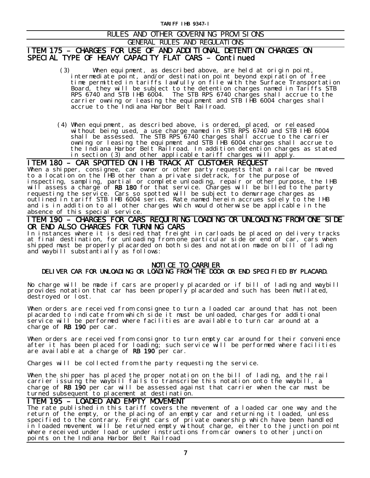### RULES AND OTHER GOVERNING PROVISIONS

### GENERAL RULES AND REGULATIONS

### ITEM 175 – CHARGES FOR USE OF AND ADDITIONAL DETENTION CHARGES ON SPECIAL TYPE OF HEAVY CAPACITY FLAT CARS – Continued

- (3) When equipment, as described above, are held at origin point, intermediate point, and/or destination point beyond expiration of free time permitted in tariffs lawfully on file with the Surface Transportation Board, they will be subject to the detention charges named in Tariffs STB RPS 6740 and STB IHB 6004. The STB RPS 6740 charges shall accrue to the carrier owning or leasing the equipment and STB IHB 6004 charges shall accrue to the Indiana Harbor Belt Railroad.
- (4) When equipment, as described above, is ordered, placed, or released without being used, a use charge named in STB RPS 6740 and STB IHB 6004 shall be assessed. The STB RPS 6740 charges shall accrue to the carrier owning or leasing the equipment and STB IHB 6004 charges shall accrue to the Indiana Harbor Belt Railroad. In addition detention charges as stated in section (3) and other applicable tariff charges will apply.

**ITEM 180 - CAR SPOTTED ON IHB TRACK AT CUSTOMER REQUEST**<br>When a shipper, consignee, car owner or other party requests that a railcar be moved to a location on the IHB other than a private sidetrack, for the purpose of inspecting, sampling, partial or complete unloading, repair or other purpose, the IHB will assess a charge of RB 180 for that service. Charges will be billed to the party requesting the service. Cars so spotted will be subject to demurrage charges as outlined in tariff STB IHB 6004 series. Rate named herein accrues solely to the IHB and is in addition to all other charges which would otherwise be applicable in the absence of this special service.

## ITEM 190 – CHARGES FOR CARS REQUIRING LOADING OR UNLOADING FROM ONE SIDE OR END ALSO CHARGES FOR TURNING CARS<br>In instances where it is desired that freight in carloads be placed on delivery tracks

at final destination, for unloading from one particular side or end of car, cars when shipped must be properly placarded on both sides and notation made on bill of lading and waybill substantially as follows:

# NOTICE TO CARRIER DELIVER CAR FOR UNLOADING OR LOADING FROM THE DOOR OR END SPECIFIED BY PLACARD.

No charge will be made if cars are properly placarded or if bill of lading and waybill provides notation that car has been properly placarded and such has been mutilated, destroyed or lost.

When orders are received from consignee to turn a loaded car around that has not been placarded to indicate from which side it must be unloaded, charges for additional service will be performed where facilities are available to turn car around at a charge of RB 190<sup>'</sup> per car.

When orders are received from consignor to turn empty car around for their convenience after it has been placed for loading; such service will be performed where facilities are available at a charge of  $RB$  190 per car.

Charges will be collected from the party requesting the service.

When the shipper has placed the proper notation on the bill of lading, and the rail carrier issuing the waybill fails to transcribe this notation onto the waybill, a charge of RB 190 per car will be assessed against that carrier when the car must be

# turned subsequent to placement at destination.<br>TTEM 195 - LOADED AND EMPTY MOVEMENT

**ITEM 195 - LOADED AND EMPTY MOVEMENT**<br>The rate published in this tariff covers the movement of a loaded car one way and the return of the empty, or the placing of an empty car and returning it loaded, unless specified to the contrary. Freight cars of private ownership which have been handled in loaded movement will be returned empty without charge, either to the junction point where received under load or under instructions from car owners to other junction points on the Indiana Harbor Belt Railroad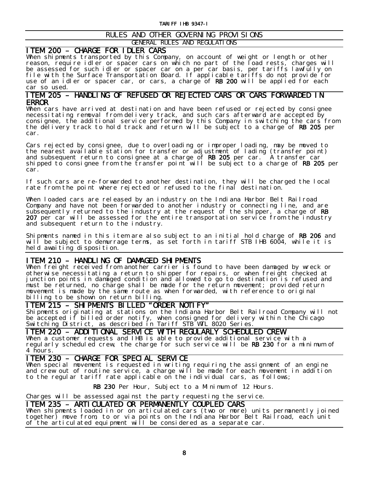### RULES AND OTHER GOVERNING PROVISIONS GENERAL RULES AND REGULATIONS

**ITEM 200 – CHARGE FOR IDLER CARS**<br>When shipments transported by this Company, on account of weight or length or other reason, require idler or spacer cars on which no part of the load rests, charges will be assessed for such idler or spacer car on a per car basis, per tariffs lawfully on file with the Surface Transportation Board. If applicable tariffs do not provide for use of an idler or spacer car, or cars, a charge of RB 200 will be applied for each car so used.

# ITEM 205 – HANDLING OF REFUSED OR REJECTED CARS OR CARS FORWARDED IN<br>ERROR

When cars have arrived at destination and have been refused or rejected by consignee necessitating removal from delivery track, and such cars afterward are accepted by consignee, the additional service performed by this Company in switching the cars from the delivery track to hold track and return will be subject to a charge of RB 205 per car.

Cars rejected by consignee, due to overloading or improper loading, may be moved to the nearest available station for transfer or adjustment of lading (transfer point) and subsequent return to consignee at a charge of RB 205 per car. A transfer car shipped to consignee from the transfer point will be subject to a charge of RB 205 per car.

If such cars are re-forwarded to another destination, they will be charged the local rate from the point where rejected or refused to the final destination.

When loaded cars are released by an industry on the Indiana Harbor Belt Railroad Company and have not been forwarded to another industry or connecting line, and are subsequently returned to the industry at the request of the shipper, a charge of  $RB$ 207 per car will be assessed for the entire transportation service from the industry and subsequent return to the industry.

Shipments named in this item are also subject to an initial hold charge of RB 206 and will be subject to demurrage terms, as set forth in tariff STB IHB 6004, while it is held awaiting disposition.

**ITEM 210 – HANDLING OF DAMAGED SHIPMENTS**<br>When freight received from another carrier is found to have been damaged by wreck or otherwise necessitating a return to shipper for repairs, or when freight checked at junction points in damaged condition and allowed to go to destination is refused and must be returned, no charge shall be made for the return movement; provided return movement is made by the same route as when forwarded, with reference to original billing to be shown on return billing.

**ITEM 215 - SHIPMENTS BILLED "ORDER NOTIFY"**<br>Shipments originating at stations on the Indiana Harbor Belt Railroad Company will not be accepted if billed order notify, when consigned for delivery within the Chicago Switching District, as described in Tariff STB WTL 8020 Series.

ITEM 220 - ADDITIONAL SERVICE WITH REGULARLY SCHEDULED CREW<br>When a customer requests and IHB is able to provide additional service with a regularly scheduled crew, the charge for such service will be RB 230 for a minimum of 4 hours.

Ξ

**ITEM 230 – CHARGE FOR SPECIAL SERVICE**<br>When special movement is requested in writing requiring the assignment of an engine and crew out of routine service, a charge will be made for each movement in addition to the regular tariff rate applicable on the individual cars, as follows;

RB 230 Per Hour, Subject to a Minimum of 12 Hours.

Charges will be assessed against the party requesting the service.

ITEM 235 – ARTICULATED OR PERMANENTLY COUPLED CARS When shipments loaded in or on articulated cars (two or more) units permanently joined together) move from, to or via points on the Indiana Harbor Belt Railroad, each unit of the articulated equipment will be considered as a separate car.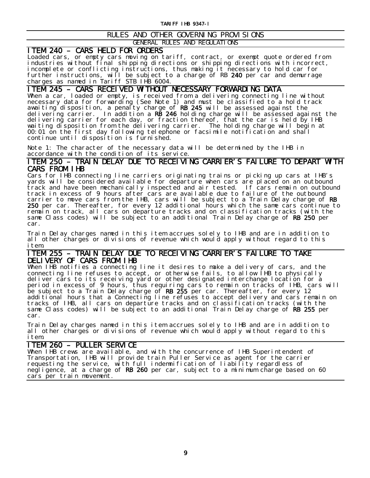### RULES AND OTHER GOVERNING PROVISIONS GENERAL RULES AND REGULATIONS

**ITEM 240 - CARS HELD FOR ORDERS**<br>Loaded cars, or empty cars moving on tariff, contract, or exempt quote ordered from industries without final shipping directions or shipping directions with incorrect, incomplete or conflicting instructions, thus making it necessary to hold car for further instructions, will be subject to a charge of RB 240 per car and demurrage charges as named in Tariff STB IHB 6004.

**ITEM 245 – CARS RECEIVED WITHOUT NECESSARY FORWARDING DATA**<br>When a car, loaded or empty, is received from a delivering connecting line without necessary data for forwarding (See Note 1) and must be classified to a hold track awaiting disposition, a penalty charge of RB 245 will be assessed against the delivering carrier. In addition a RB 246 holding charge will be assessed against the delivering carrier for each day, or fraction thereof, that the car is held by IHB waiting disposition from the delivering carrier. The holding charge will begin at 00:01 on the first day following telephone or facsimile notification and shall continue until disposition is furnished.

Note 1: The character of the necessary data will be determined by the IHB in accordance with the condition of its service.

# ITEM 250 – TRAIN DELAY DUE TO RECEIVING CARRIER'S FAILURE TO DEPART WITH

Cars for IHB connecting line carriers originating trains or picking up cars at IHB's yards will be considered available for departure when cars are placed on an outbound track and have been mechanically inspected and air tested. If cars remain on outbound track in excess of 9 hours after cars are available due to failure of the outbound carrier to move cars from the IHB, cars will be subject to a Train Delay charge of RB 250 per car. Thereafter, for every 12 additional hours which the same cars continue to remain on track, all cars on departure tracks and on classification tracks (with the same Class codes) will be subject to an additional Train Delay charge of RB 250 per car.

Train Delay charges named in this item accrues solely to IHB and are in addition to all other charges or divisions of revenue which would apply without regard to this item.

### ITEM 255 – TRAIN DELAY DUE TO RECEIVING CARRIER'S FAILURE TO TAKE DELIVERY OF CARS FROM IHB

When IHB notifies a connecting line it desires to make a delivery of cars, and the connecting line refuses to accept, or otherwise fails, to allow IHB to physically deliver cars to its receiving yard or other designated interchange location for a period in excess of 9 hours, thus requiring cars to remain on tracks of IHB, cars will be subject to a Train Delay charge of RB 255 per car. Thereafter, for every 12 additional hours that a Connecting line refuses to accept delivery and cars remain on tracks of IHB, all cars on departure tracks and on classification tracks (with the same Class codes) will be subject to an additional Train Delay charge of RB 255 per car.

Train Delay charges named in this item accrues solely to IHB and are in addition to all other charges or divisions of revenue which would apply without regard to this item.

Ξ

**ITEM 260 – PULLER SERVICE**<br>When IHB crews are available, and with the concurrence of IHB Superintendent of Transportation, IHB will provide train Puller Service as agent for the carrier requesting the service, with full indemnification of liability regardless of negligence, at a charge of RB 260 per car, subject to a minimum charge based on 60 cars per train movement.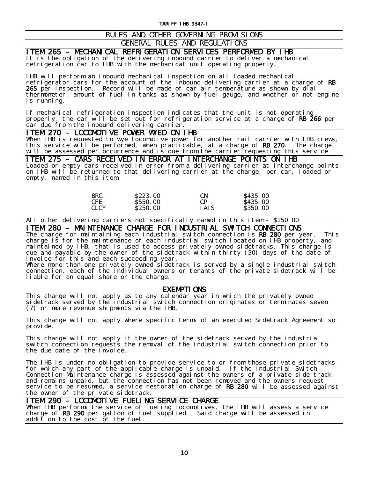### RULES AND OTHER GOVERNING PROVISIONS

### GENERAL RULES AND REGULATIONS

# **ITEM 265 – MECHANICAL REFRIGERATION SERVICES PERFORMED BY IHB**<br>It is the obligation of the delivering inbound carrier to deliver a mechanical

refrigeration car to IHB with the mechanical unit operating properly.

IHB will perform an inbound mechanical inspection on all loaded mechanical refrigerator cars for the account of the inbound delivering carrier at a charge of **RB** 265 per inspection. Record will be made of car air temperature as shown by dial thermometer, amount of fuel in tanks as shown by fuel gauge, and whether or not engine is running.

If mechanical refrigeration inspection indicates that the unit is not operating properly, the car will be set out for refrigeration service at a charge of RB 266 per car due from the inbound delivering carrier.

**ITEM 270 - LOCOMOTIVE POWER WYED ON IHB**<br>When IHB is requested to wye locomotive power for another rail carrier with IHB crews, this service will be performed, when practicable, at a charge of RB 270. The charge will be assessed per occurrence and is due from the carrier requesting this service

ITEM 275 – CARS RECEIVED IN ERROR AT INTERCHANGE POINTS ON IHB Loaded or empty cars received in error from a delivering carrier at interchange points on IHB will be returned to that delivering carrier at the charge, per car, loaded or empty, named in this item.

| BRC         | S <sub>223</sub> 00 | <b>CN</b>      | <b>S435.00</b> |
|-------------|---------------------|----------------|----------------|
| CFE.        | <b>S550.00</b>      | C <sub>P</sub> | \$435,00       |
| <b>CLCY</b> | <b>S250.00</b>      | I AI S         | <b>S350.00</b> |

All other delivering carriers not specifically named in this item - \$150.00

**ITEM 280 – MAINTENANCE CHARGE FOR INDUSTRIAL SWITCH CONNECTIONS**<br>The charge for maintaining each industrial switch connection is **RB 280** per year. This

charge is for the maintenance of each industrial switch located on IHB property, and maintained by IHB, that is used to access privately owned sidetracks. This charge is due and payable by the owner of the sidetrack within thirty (30) days of the date of invoice for this and each succeeding year.

Where more than one privately owned sidetrack is served by a single industrial switch connection, each of the individual owners or tenants of the private sidetrack will be liable for an equal share or the charge.

 $\frac{\text{EXEMP}}{\text{T}}$  ONS<br>This charge will not apply as to any calendar year in which the privately owned sidetrack served by the industrial switch connection originates or terminates seven (7) or more revenue shipments via the IHB.

This charge will not apply where specific terms of an executed Sidetrack Agreement so provide.

This charge will not apply if the owner of the sidetrack served by the industrial switch connection requests the removal of the industrial switch connection prior to the due date of the invoice.

The IHB is under no obligation to provide service to or from those private sidetracks for which any part of the applicable charge is unpaid. If the Industrial Switch Connection Maintenance charge is assessed against the owners of a private side track and remains unpaid, but the connection has not been removed and the owners request service to be resumed, a service restoration charge of RB 280 will be assessed against the owner of the private sidetrack.

Ξ

**ITEM 290 - LOCOMOTIVE FUELING SERVICE CHARGE**<br>When IHB performs the service of fueling locomotives, the IHB will assess a service charge of RB 290 per gallon of fuel supplied. Said charge will be assessed in addition to the cost of the fuel.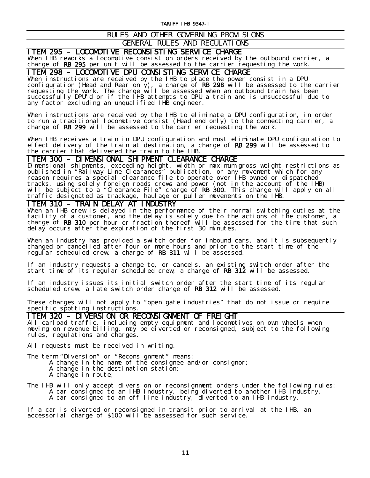## RULES AND OTHER GOVERNING PROVISIONS

GENERAL RULES AND REGULATIONS

**ITEM 295 - LOCOMOTIVE RECONSISTING SERVICE CHARGE**<br>When IHB reworks a locomotive consist on orders received by the outbound carrier, a charge of RB 295 per unit will be assessed to the carrier requesting the work.

ITEM 298 – LOCOMOTIVE DPU CONSISTING SERVICE CHARGE When instructions are received by the IHB to place the power consist in a DPU configuration (Head and Rear only), a charge of RB 298 will be assessed to the carrier requesting the work. The charge will be assessed when an outbound train has been successfully DPU'd or if the IHB attempts to DPU a train and is unsuccessful due to any factor excluding an unqualified IHB engineer.

When instructions are received by the IHB to eliminate a DPU configuration, in order to run a traditional locomotive consist (Head end only) to the connecting carrier, a charge of RB 299 will be assessed to the carrier requesting the work.

When IHB receives a train in DPU configuration and must eliminate DPU configuration to effect delivery of the train at destination, a charge of RB 299 will be assessed to the carrier that delivered the train to the IHB.

**ITEM 300 - DIMENSIONAL SHIPMENT CLEARANCE CHARGE**<br>Dimensional shipments, exceeding height, width or maximum gross weight restrictions as published in "Railway Line Clearances" publication, or any movement which for any reason requires a special clearance file to operate over IHB owned or dispatched tracks, using solely foreign roads crews and power (not in the account of the IHB) will be subject to a "Clearance File" charge of RB 300. This charge will apply on all traffic designated as trackage, haulage or puller movements on the IHB.<br>TTEM 310 - TRAIN DELAY AT INDUSTRY

When an IHB crew is delayed in the performance of their normal switching duties at the facility of a customer, and the delay is solely due to the actions of the customer, a charge of RB 310 per hour or fraction thereof will be assessed for the time that such delay occurs after the expiration of the first 30 minutes.

When an industry has provided a switch order for inbound cars, and it is subsequently changed or cancelled after four or more hours and prior to the start time of the regular scheduled crew, a charge of RB 311 will be assessed.

If an industry requests a change to, or cancels, an existing switch order after the start time of its regular scheduled crew, a charge of RB 312 will be assessed.

If an industry issues its initial switch order after the start time of its regular scheduled crew, a late switch order charge of RB 312 will be assessed.

These charges will not apply to "open gate industries" that do not issue or require specific spotting instructions.

**ITEM 320 – DIVERSION OR RECONSIGNMENT OF FREIGHT**<br>All carload traffic, including empty equipment and locomotives on own wheels when moving on revenue billing, may be diverted or reconsigned, subject to the following rules, regulations and charges.

All requests must be received in writing.

The term "Diversion" or "Reconsignment" means:

A change in the name of the consignee and/or consignor;

- A change in the destination station;
- A change in route;
- The IHB will only accept diversion or reconsignment orders under the following rules: A car consigned to an IHB industry, being diverted to another IHB industry. A car consigned to an off-line industry, diverted to an IHB industry.

If a car is diverted or reconsigned in transit prior to arrival at the IHB, an accessorial charge of  $$100$  will be assessed for such service.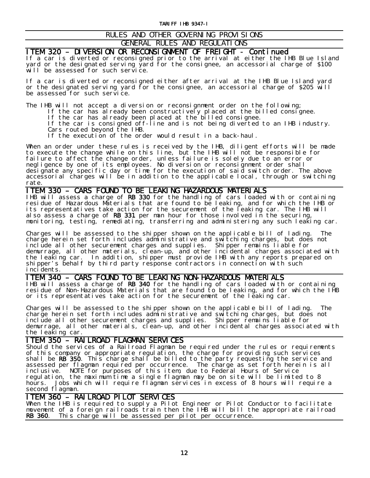## RULES AND OTHER GOVERNING PROVISIONS

## GENERAL RULES AND REGULATIONS

# **ITEM 320 – DIVERSION OR RECONSIGNMENT OF FREIGHT – Continued<br>If a car is diverted or reconsigned prior to the arrival at either the IHB Blue Island**

yard or the designated serving yard for the consignee, an accessorial charge of \$100 will be assessed for such service.

If a car is diverted or reconsigned either after arrival at the IHB Blue Island yard or the designated serving yard for the consignee, an accessorial charge of \$205 will be assessed for such service.

The IHB will not accept a diversion or reconsignment order on the following;

If the car has already been constructively placed at the billed consignee.

If the car has already been placed at the billed consignee.

If the car is consigned off-line and is not being diverted to an IHB industry. Cars routed beyond the IHB.

If the execution of the order would result in a back-haul.

When an order under these rules is received by the IHB, diligent efforts will be made to execute the change while on this line, but the IHB will not be responsible for failure to affect the change order, unless failure is solely due to an error or negligence by one of its employees. No diversion or reconsignment order shall designate any specific day or time for the execution of said switch order. The above accessorial charges will be in addition to the applicable local, through or switching rate.

**ITEM 330 – CARS FOUND TO BE LEAKING HAZARDOUS MATERIALS**<br>IHB will assess a charge of **RB 330** for the handling of cars loaded with or containing residue of Hazardous Materials that are found to be leaking, and for which the IHB or its representatives take action for the securement of the leaking car. The IHB will also assess a charge of RB 331 per man hour for those involved in the securing, monitoring, testing, remediating, transferring and administering any such leaking car.

Charges will be assessed to the shipper shown on the applicable bill of lading. The charge herein set forth includes administrative and switching charges, but does not include all other securement charges and supplies. Shipper remains liable for demurrage, all other materials, clean-up, and other incidental charges associated with the leaking car. In addition, shipper must provide IHB with any reports prepared on shipper's behalf by third party response contractors in connection with such incidents.

ITEM 340 – CARS FOUND TO BE LEAKING NON-HAZARDOUS MATERIALS IHB will assess a charge of RB 340 for the handling of cars loaded with or containing residue of Non-Hazardous Materials that are found to be leaking, and for which the IHB or its representatives take action for the securement of the leaking car.

Charges will be assessed to the shipper shown on the applicable bill of lading. The charge herein set forth includes administrative and switching charges, but does not include all other securement charges and supplies. Shipper remains liable for demurrage, all other materials, clean-up, and other incidental charges associated with the leaking car.

ITEM 350 – RAILROAD FLAGMAN SERVICES Should the services of a Railroad Flagman be required under the rules or requirements of this company or appropriate regulation, the charge for providing such services shall be  $RB$  350. This charge shall be billed to the party requesting the service and assessed per flagman required per occurrence. The charge as set forth herein is all inclusive. NOTE for purposes of this item, due to Federal Hours of Service regulation, the maximum time a single flagman may be on site will be limited to 8 hours. Jobs which will require flagman services in excess of 8 hours will require a second flagman.

Ξ

**ITEM 360 - RAILROAD PILOT SERVICES**<br>When the IHB is required to supply a Pilot Engineer or Pilot Conductor to facilitate movement of a foreign railroads train then the IHB will bill the appropriate railroad<br>RB 360. This charge will be assessed per pilot per occurrence. This charge will be assessed per pilot per occurrence.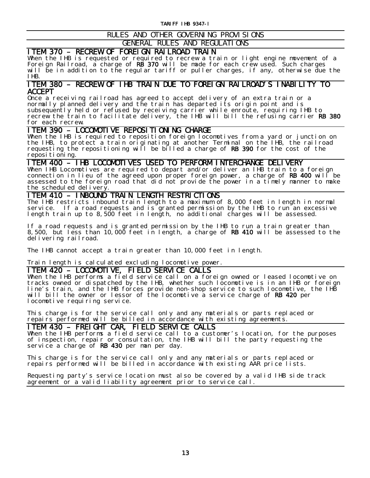## RULES AND OTHER GOVERNING PROVISIONS

GENERAL RULES AND REGULATIONS

**ITEM 370 – RECREW OF FOREIGN RAILROAD TRAIN**<br>When the IHB is requested or required to recrew a train or light engine movement of a Foreign Railroad, a charge of RB 370 will be made for each crew used. Such charges will be in addition to the regular tariff or puller charges, if any, otherwise due the IHB.

# ITEM 380 – RECREW OF IHB TRAIN DUE TO FOREIGN RAILROAD'S INABILITY TO

**ACCEPT**<br>Once a receiving railroad has agreed to accept delivery of an extra train or a normally planned delivery and the train has departed its origin point and is subsequently held or refused by receiving carrier while enroute, requiring IHB to recrew the train to facilitate delivery, the IHB will bill the refusing carrier RB 380 for each recrew.

ITEM 390 – LOCOMOTIVE REPOSITIONING CHARGE When the IHB is required to reposition foreign locomotives from a yard or junction on the IHB, to protect a train originating at another Terminal on the IHB, the railroad requesting the repositioning will be billed a charge of RB 390 for the cost of the repositioning.

# ITEM 400 – IHB LOCOMOTIVES USED TO PERFORM INTERCHANGE DELIVERY When IHB Locomotives are required to depart and/or deliver an IHB train to a foreign

connection in lieu of the agreed upon proper foreign power, a charge of RB 400 will be assessed to the foreign road that did not provide the power in a timely manner to make the scheduled delivery.

ITEM 410 – INBOUND TRAIN LENGTH RESTRICTIONS The IHB restricts inbound train length to a maximum of 8,000 feet in length in normal service. If a road requests and is granted permission by the IHB to run an excessive length train up to 8,500 feet in length, no additional charges will be assessed.

If a road requests and is granted permission by the IHB to run a train greater than 8,500, but less than 10,000 feet in length, a charge of RB 410 will be assessed to the delivering railroad.

The IHB cannot accept a train greater than 10,000 feet in length.

Train length is calculated excluding locomotive power.

ITEM 420 – LOCOMOTIVE, FIELD SERVICE CALLS When the IHB performs a field service call on a foreign owned or leased locomotive on tracks owned or dispatched by the IHB, whether such locomotive is in an IHB or foreign line's train, and the IHB forces provide non-shop service to such locomotive, the IHB will bill the owner or lessor of the locomotive a service charge of RB 420 per locomotive requiring service.

This charge is for the service call only and any materials or parts replaced or repairs performed will be billed in accordance with existing agreements.

ITEM 430 – FREIGHT CAR, FIELD SERVICE CALLS When the IHB performs a field service call to a customer's location, for the purposes of inspection, repair or consultation, the IHB will bill the party requesting the service a charge of RB 430 per man per day.

This charge is for the service call only and any materials or parts replaced or repairs performed will be billed in accordance with existing AAR price lists.

Requesting party's service location must also be covered by a valid IHB side track agreement or a valid liability agreement prior to service call.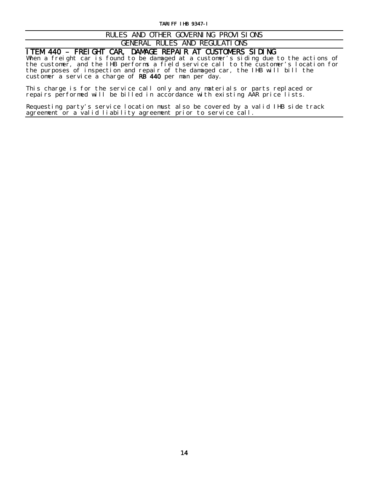### RULES AND OTHER GOVERNING PROVISIONS GENERAL RULES AND REGULATIONS

**ITEM 440 – FREIGHT CAR, DAMAGE REPAIR AT CUSTOMERS SIDING**<br>When a freight car is found to be damaged at a customer's siding due to the actions of the customer, and the IHB performs a field service call to the customer's location for the purposes of inspection and repair of the damaged car, the IHB will bill the customer a service a charge of RB 440 per man per day.

This charge is for the service call only and any materials or parts replaced or repairs performed will be billed in accordance with existing AAR price lists.

Requesting party's service location must also be covered by a valid IHB side track agreement or a valid liability agreement prior to service call.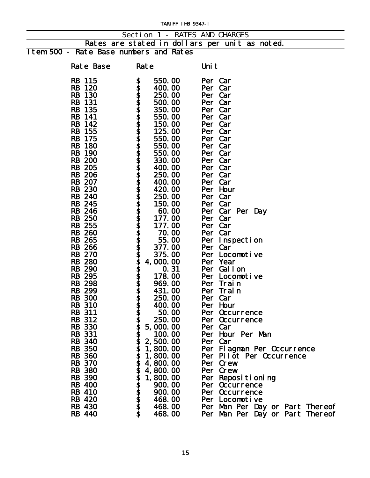|                                        |                            | Section 1 - RATES AND CHARGES                  |
|----------------------------------------|----------------------------|------------------------------------------------|
|                                        |                            | Rates are stated in dollars per unit as noted. |
| Item 500 - Rate Base numbers and Rates |                            |                                                |
|                                        |                            |                                                |
| Rate Base                              | Rate                       | Uni t                                          |
|                                        |                            |                                                |
| <b>RB</b> 115                          | \$<br>550.00               | Per Car                                        |
| <b>RB</b> 120                          | 400.00                     | Per Car                                        |
| <b>RB</b> 130                          | 250.00                     | Per Car                                        |
| <b>RB</b> 131                          | 500.00                     | Per Car                                        |
| <b>RB</b> 135                          | 350.00                     | Per Car                                        |
| <b>RB</b> 141                          | 550.00                     | Per Car                                        |
| RB 142                                 | 150.00                     | Per Car                                        |
| <b>RB</b> 155                          | 125.00                     | Per Car                                        |
| <b>RB</b> 175                          | 550.00                     | Per Car                                        |
| <b>RB</b> 180                          | 550.00                     | Per Car                                        |
| <b>RB</b> 190                          | 550.00                     | Per Car                                        |
| <b>RB</b> 200                          | 330.00                     | Per Car                                        |
| <b>RB</b> 205                          | 400.00                     | Per Car                                        |
| <b>RB 206</b>                          | 250.00                     | Per Car                                        |
| <b>RB</b> 207<br><b>RB 230</b>         | 400.00                     | Per Car                                        |
| <b>RB</b> 240                          | 420.00<br>250.00           | Per Hour<br>Per Car                            |
| <b>RB</b> 245                          | 150.00                     | Per Car                                        |
| <b>RB</b> 246                          | 60.00                      | Per Car Per Day                                |
| <b>RB</b> 250                          | 177.00                     | Per Car                                        |
| <b>RB</b> 255                          | 177.00                     | Per Car                                        |
| <b>RB 260</b>                          | 70.00                      | Per Car                                        |
| <b>RB</b> 265                          | 55.00                      | Per Inspection                                 |
| <b>RB 266</b>                          | 377.00                     | Per Car                                        |
| <b>RB 270</b>                          | 375.00                     | Per Locomotive                                 |
| <b>RB 280</b>                          | 4,000.00                   | Per Year                                       |
| <b>RB</b> 290                          | 0.31                       | Per Gallon                                     |
| <b>RB</b> 295                          | 178.00                     | Per Locomotive                                 |
| <b>RB 298</b>                          | 969.00                     | Per Train                                      |
| <b>RB 299</b>                          | 431.00                     | Per Train                                      |
| <b>RB</b> 300                          | 250.00                     | Per Car                                        |
| <b>RB</b> 310                          | 400.00                     | Per Hour                                       |
| <b>RB</b> 311                          | 50.00                      | Per Occurrence                                 |
| RB 312                                 | 250.00                     | Per Occurrence                                 |
| <b>RB 330</b>                          | 5,000.00                   | Per Car                                        |
| <b>RB</b> 331                          | 100.00                     | Per Hour Per Man                               |
| <b>RB</b> 340                          | 2,500.00                   | Per Car                                        |
| <b>RB</b> 350                          | 1, 800. 00                 | Per Flagman Per Occurrence                     |
| <b>RB 360</b>                          | 1,800.00                   | Per Pilot Per Occurrence                       |
| <b>RB</b> 370                          | wwwwwwwwwwwwww<br>4,800.00 | Per Crew                                       |
| <b>RB 380</b>                          | 4,800.00                   | Per Crew                                       |
| <b>RB</b> 390                          | 1,800.00                   | Per Repositioning                              |
| <b>RB</b> 400                          | 900.00                     | Per Occurrence                                 |
| RB 410                                 | 900.00                     | Per Occurrence                                 |
| <b>RB</b> 420                          | 468.00                     | Per Locomotive                                 |
| <b>RB</b> 430                          | 468.00                     | Per Man Per Day or Part Thereof                |
| <b>RB</b> 440                          | 468.00                     | Per Man Per Day or Part Thereof                |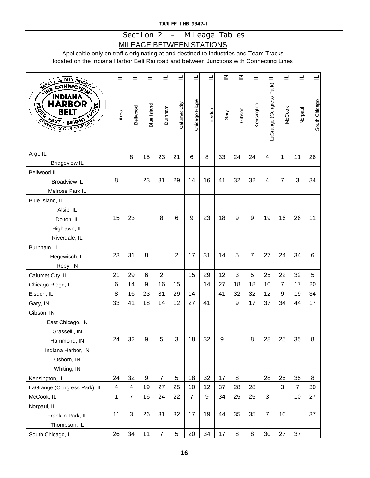## Section 2 – Mileage Tables

## MILEAGE BETWEEN STATIONS

Applicable only on traffic originating at and destined to Industries and Team Tracks located on the Indiana Harbor Belt Railroad and between Junctions with Connecting Lines

| SAFETY IS OUR PRIORITY<br>CONNECTION<br><b>AHT</b>                                                          |                 |                |                    |                  |                |                |        | $\leq$ | $\overline{\leq}$ |            |                             |                |                |               |
|-------------------------------------------------------------------------------------------------------------|-----------------|----------------|--------------------|------------------|----------------|----------------|--------|--------|-------------------|------------|-----------------------------|----------------|----------------|---------------|
| INDIANA<br>RB<br>DR<br><b>HUTCH</b><br><b>RGSS</b><br>24s<br><b>BRIGHT</b><br><b>SERVICE IS OUR SPECTED</b> | Argo            | Bellwood       | <b>Blue Island</b> | Burnham          | Calumet City   | Chicago Ridge  | Elsdon | Gary   | Gibson            | Kensington | LaGrange (Congress Park) IL | <b>McCook</b>  | Norpaul        | South Chicago |
| Argo IL<br><b>Bridgeview IL</b>                                                                             |                 | 8              | 15                 | 23               | 21             | 6              | 8      | 33     | 24                | 24         | $\overline{4}$              | 1              | 11             | 26            |
| Bellwood IL                                                                                                 |                 |                |                    |                  |                |                |        |        |                   |            |                             |                |                |               |
| <b>Broadview IL</b>                                                                                         | 8               |                | 23                 | 31               | 29             | 14             | 16     | 41     | 32                | 32         | 4                           | $\overline{7}$ | 3              | 34            |
| Melrose Park IL                                                                                             |                 |                |                    |                  |                |                |        |        |                   |            |                             |                |                |               |
| Blue Island, IL                                                                                             |                 |                |                    |                  |                |                |        |        |                   |            |                             |                |                |               |
| Alsip, IL                                                                                                   |                 |                |                    |                  |                |                |        |        |                   |            |                             |                |                |               |
| Dolton, IL                                                                                                  | 15              | 23             |                    | 8                | $\,6$          | 9              | 23     | 18     | 9                 | 9          | 19                          | 16             | 26             | 11            |
| Highlawn, IL                                                                                                |                 |                |                    |                  |                |                |        |        |                   |            |                             |                |                |               |
| Riverdale, IL                                                                                               |                 |                |                    |                  |                |                |        |        |                   |            |                             |                |                |               |
| Burnham, IL                                                                                                 |                 |                |                    |                  |                |                |        |        |                   |            |                             |                |                |               |
| Hegewisch, IL                                                                                               | 23              | 31             | 8                  |                  | $\overline{2}$ | 17             | 31     | 14     | 5                 | 7          | 27                          | 24             | 34             | 6             |
| Roby, IN                                                                                                    |                 |                |                    |                  |                |                |        |        |                   |            |                             |                |                |               |
| Calumet City, IL                                                                                            | 21              | 29             | 6                  | $\boldsymbol{2}$ |                | 15             | 29     | 12     | 3                 | 5          | 25                          | 22             | 32             | $\mathbf 5$   |
| Chicago Ridge, IL                                                                                           | $6\phantom{1}6$ | 14             | $\boldsymbol{9}$   | 16               | 15             |                | 14     | 27     | 18                | 18         | 10                          | 7              | 17             | 20            |
| Elsdon, IL                                                                                                  | 8               | 16             | 23                 | 31               | 29             | 14             |        | 41     | 32                | 32         | 12                          | 9              | 19             | 34            |
| Gary, IN                                                                                                    | 33              | 41             | 18                 | 14               | 12             | 27             | 41     |        | 9                 | 17         | 37                          | 34             | 44             | 17            |
| Gibson, IN                                                                                                  |                 |                |                    |                  |                |                |        |        |                   |            |                             |                |                |               |
| East Chicago, IN                                                                                            |                 |                |                    |                  |                |                |        |        |                   |            |                             |                |                |               |
| Grasselli, IN                                                                                               |                 |                |                    |                  |                |                |        |        |                   |            |                             |                |                |               |
| Hammond, IN                                                                                                 | 24              | 32             | 9                  | 5                | 3              | 18             | 32     | 9      |                   | 8          | 28                          | 25             | 35             | 8             |
| Indiana Harbor, IN                                                                                          |                 |                |                    |                  |                |                |        |        |                   |            |                             |                |                |               |
| Osborn, IN                                                                                                  |                 |                |                    |                  |                |                |        |        |                   |            |                             |                |                |               |
| Whiting, IN                                                                                                 |                 |                |                    |                  |                |                |        |        |                   |            |                             |                |                |               |
| Kensington, IL                                                                                              | 24              | 32             | $\boldsymbol{9}$   | $\overline{7}$   | 5              | 18             | 32     | 17     | 8                 |            | 28                          | 25             | 35             | 8             |
| LaGrange (Congress Park), IL                                                                                | $\overline{4}$  | 4              | 19                 | 27               | 25             | 10             | 12     | 37     | 28                | 28         |                             | 3              | $\overline{7}$ | 30            |
| McCook, IL                                                                                                  | 1               | $\overline{7}$ | 16                 | 24               | 22             | $\overline{7}$ | 9      | 34     | 25                | 25         | 3                           |                | 10             | 27            |
| Norpaul, IL                                                                                                 |                 |                |                    |                  |                |                |        |        |                   |            | $\overline{7}$              |                |                |               |
| Franklin Park, IL                                                                                           | 11              | 3              | 26                 | 31               | 32             | 17             | 19     | 44     | 35                | 35         |                             | 10             |                | 37            |
| Thompson, IL                                                                                                |                 |                |                    |                  |                |                |        |        |                   |            |                             |                |                |               |
| South Chicago, IL                                                                                           | 26              | 34             | 11                 | $\overline{7}$   | $\sqrt{5}$     | 20             | 34     | 17     | 8                 | 8          | 30                          | 27             | 37             |               |